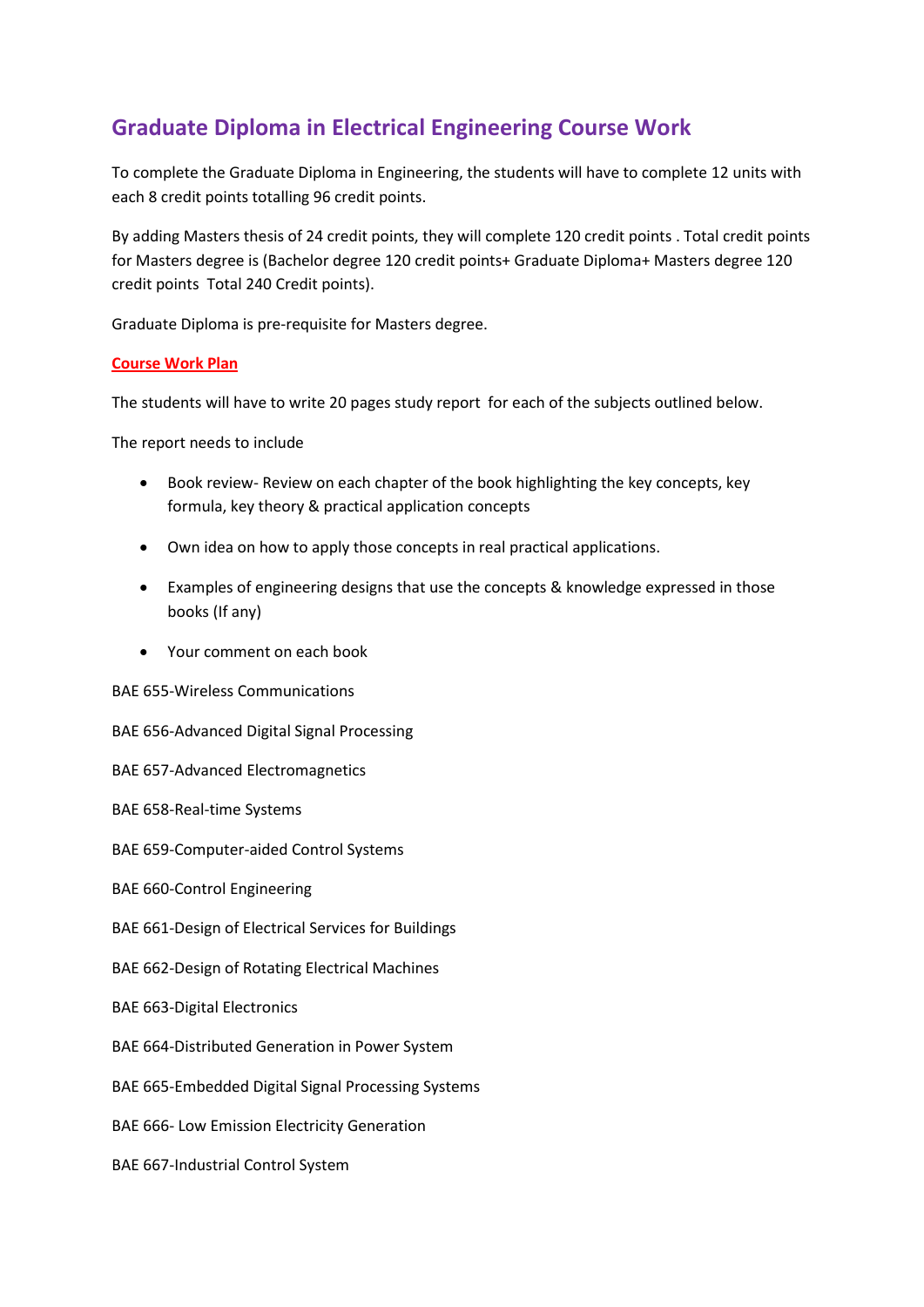## **Graduate Diploma in Electrical Engineering Course Work**

To complete the Graduate Diploma in Engineering, the students will have to complete 12 units with each 8 credit points totalling 96 credit points.

By adding Masters thesis of 24 credit points, they will complete 120 credit points . Total credit points for Masters degree is (Bachelor degree 120 credit points+ Graduate Diploma+ Masters degree 120 credit points Total 240 Credit points).

Graduate Diploma is pre-requisite for Masters degree.

## **Course Work Plan**

The students will have to write 20 pages study report for each of the subjects outlined below.

The report needs to include

- Book review- Review on each chapter of the book highlighting the key concepts, key formula, key theory & practical application concepts
- Own idea on how to apply those concepts in real practical applications.
- Examples of engineering designs that use the concepts & knowledge expressed in those books (If any)
- Your comment on each book

BAE 655-Wireless Communications

BAE 656-Advanced Digital Signal Processing

BAE 657-Advanced Electromagnetics

BAE 658-Real-time Systems

BAE 659-Computer-aided Control Systems

BAE 660-Control Engineering

BAE 661-Design of Electrical Services for Buildings

BAE 662-Design of Rotating Electrical Machines

BAE 663-Digital Electronics

BAE 664-Distributed Generation in Power System

BAE 665-Embedded Digital Signal Processing Systems

BAE 666- Low Emission Electricity Generation

BAE 667-Industrial Control System